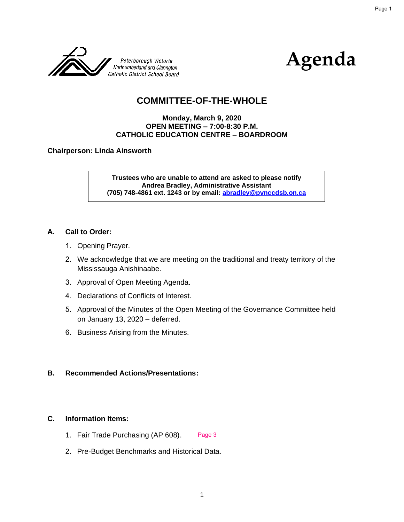



# **COMMITTEE-OF-THE-WHOLE**

#### **Monday, March 9, 2020 OPEN MEETING – 7:00-8:30 P.M. CATHOLIC EDUCATION CENTRE – BOARDROOM**

**Chairperson: Linda Ainsworth**

**Trustees who are unable to attend are asked to please notify Andrea Bradley, Administrative Assistant (705) 748-4861 ext. 1243 or by email: [abradley@pvnccdsb.on.ca](mailto:mirwin@pvnccdsb.on.ca)**

#### **A. Call to Order:**

- 1. Opening Prayer.
- 2. We acknowledge that we are meeting on the traditional and treaty territory of the Mississauga Anishinaabe.
- 3. Approval of Open Meeting Agenda.
- 4. Declarations of Conflicts of Interest.
- 5. Approval of the Minutes of the Open Meeting of the Governance Committee held on January 13, 2020 – deferred.
- 6. Business Arising from the Minutes.

#### **B. Recommended Actions/Presentations:**

#### **C. Information Items:**

- 1. Fair Trade Purchasing (AP 608). Page 3
- 2. Pre-Budget Benchmarks and Historical Data.

Page 1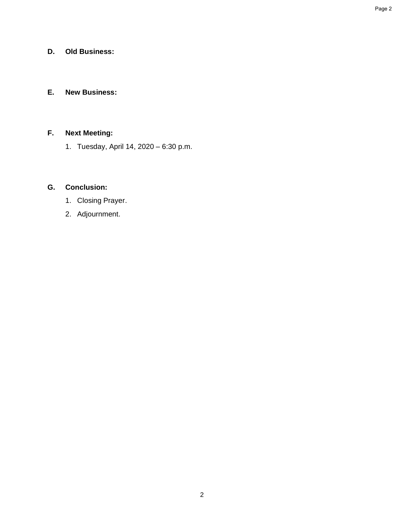# **D. Old Business:**

## **E. New Business:**

# **F. Next Meeting:**

1. Tuesday, April 14, 2020 – 6:30 p.m.

# **G. Conclusion:**

- 1. Closing Prayer.
- 2. Adjournment.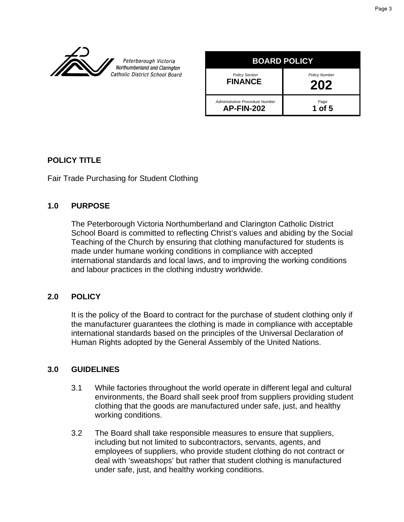

Peterborough Victoria Northumberland and Clarington Catholic District School Board

| <b>BOARD POLICY</b>                                  |                             |  |
|------------------------------------------------------|-----------------------------|--|
| <b>Policy Section</b><br><b>FINANCE</b>              | <b>Policy Number</b><br>202 |  |
| Administrative Procedure Number<br><b>AP-FIN-202</b> | $1Page$ 1 of 5              |  |

# **POLICY TITLE**

Fair Trade Purchasing for Student Clothing

## **1.0 PURPOSE**

The Peterborough Victoria Northumberland and Clarington Catholic District School Board is committed to reflecting Christ's values and abiding by the Social Teaching of the Church by ensuring that clothing manufactured for students is made under humane working conditions in compliance with accepted international standards and local laws, and to improving the working conditions and labour practices in the clothing industry worldwide.

## **2.0 POLICY**

It is the policy of the Board to contract for the purchase of student clothing only if the manufacturer guarantees the clothing is made in compliance with acceptable international standards based on the principles of the Universal Declaration of Human Rights adopted by the General Assembly of the United Nations.

## **3.0 GUIDELINES**

- 3.1 While factories throughout the world operate in different legal and cultural environments, the Board shall seek proof from suppliers providing student clothing that the goods are manufactured under safe, just, and healthy working conditions.
- 3.2 The Board shall take responsible measures to ensure that suppliers, including but not limited to subcontractors, servants, agents, and employees of suppliers, who provide student clothing do not contract or deal with 'sweatshops' but rather that student clothing is manufactured under safe, just, and healthy working conditions.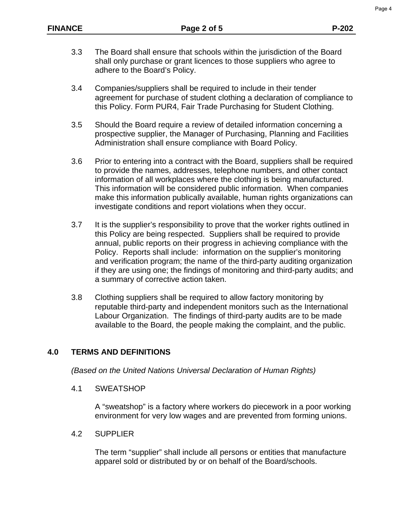- 3.3 The Board shall ensure that schools within the jurisdiction of the Board shall only purchase or grant licences to those suppliers who agree to adhere to the Board's Policy.
- 3.4 Companies/suppliers shall be required to include in their tender agreement for purchase of student clothing a declaration of compliance to this Policy. Form PUR4, Fair Trade Purchasing for Student Clothing.
- 3.5 Should the Board require a review of detailed information concerning a prospective supplier, the Manager of Purchasing, Planning and Facilities Administration shall ensure compliance with Board Policy.
- 3.6 Prior to entering into a contract with the Board, suppliers shall be required to provide the names, addresses, telephone numbers, and other contact information of all workplaces where the clothing is being manufactured. This information will be considered public information. When companies make this information publically available, human rights organizations can investigate conditions and report violations when they occur.
- 3.7 It is the supplier's responsibility to prove that the worker rights outlined in this Policy are being respected. Suppliers shall be required to provide annual, public reports on their progress in achieving compliance with the Policy. Reports shall include: information on the supplier's monitoring and verification program; the name of the third-party auditing organization if they are using one; the findings of monitoring and third-party audits; and a summary of corrective action taken.
- 3.8 Clothing suppliers shall be required to allow factory monitoring by reputable third-party and independent monitors such as the International Labour Organization. The findings of third-party audits are to be made available to the Board, the people making the complaint, and the public.

## **4.0 TERMS AND DEFINITIONS**

*(Based on the United Nations Universal Declaration of Human Rights)*

4.1 SWEATSHOP

A "sweatshop" is a factory where workers do piecework in a poor working environment for very low wages and are prevented from forming unions.

4.2 SUPPLIER

The term "supplier" shall include all persons or entities that manufacture apparel sold or distributed by or on behalf of the Board/schools.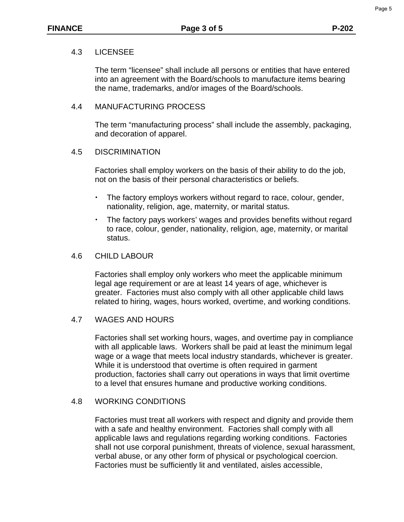## 4.3 LICENSEE

The term "licensee" shall include all persons or entities that have entered into an agreement with the Board/schools to manufacture items bearing the name, trademarks, and/or images of the Board/schools.

## 4.4 MANUFACTURING PROCESS

The term "manufacturing process" shall include the assembly, packaging, and decoration of apparel.

## 4.5 DISCRIMINATION

Factories shall employ workers on the basis of their ability to do the job, not on the basis of their personal characteristics or beliefs.

- The factory employs workers without regard to race, colour, gender, nationality, religion, age, maternity, or marital status.
- The factory pays workers' wages and provides benefits without regard to race, colour, gender, nationality, religion, age, maternity, or marital status.

## 4.6 CHILD LABOUR

Factories shall employ only workers who meet the applicable minimum legal age requirement or are at least 14 years of age, whichever is greater. Factories must also comply with all other applicable child laws related to hiring, wages, hours worked, overtime, and working conditions.

# 4.7 WAGES AND HOURS

Factories shall set working hours, wages, and overtime pay in compliance with all applicable laws. Workers shall be paid at least the minimum legal wage or a wage that meets local industry standards, whichever is greater. While it is understood that overtime is often required in garment production, factories shall carry out operations in ways that limit overtime to a level that ensures humane and productive working conditions.

## 4.8 WORKING CONDITIONS

Factories must treat all workers with respect and dignity and provide them with a safe and healthy environment. Factories shall comply with all applicable laws and regulations regarding working conditions. Factories shall not use corporal punishment, threats of violence, sexual harassment, verbal abuse, or any other form of physical or psychological coercion. Factories must be sufficiently lit and ventilated, aisles accessible,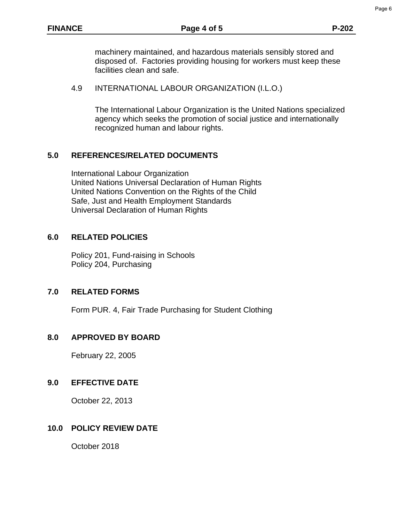machinery maintained, and hazardous materials sensibly stored and disposed of. Factories providing housing for workers must keep these facilities clean and safe.

#### 4.9 INTERNATIONAL LABOUR ORGANIZATION (I.L.O.)

The International Labour Organization is the United Nations specialized agency which seeks the promotion of social justice and internationally recognized human and labour rights.

#### **5.0 REFERENCES/RELATED DOCUMENTS**

International Labour Organization United Nations Universal Declaration of Human Rights United Nations Convention on the Rights of the Child Safe, Just and Health Employment Standards Universal Declaration of Human Rights

#### **6.0 RELATED POLICIES**

 Policy 201, Fund-raising in Schools Policy 204, Purchasing

#### **7.0 RELATED FORMS**

Form PUR. 4, Fair Trade Purchasing for Student Clothing

#### **8.0 APPROVED BY BOARD**

February 22, 2005

#### **9.0 EFFECTIVE DATE**

October 22, 2013

## **10.0 POLICY REVIEW DATE**

October 2018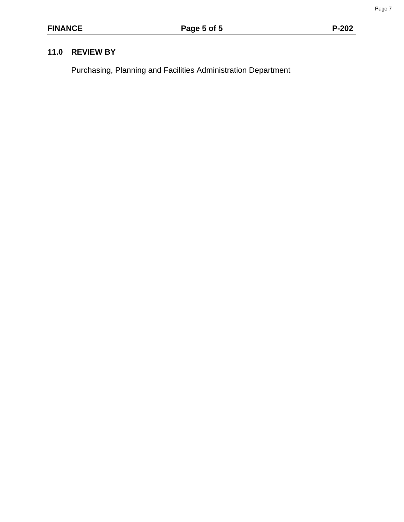Page 7

# **11.0 REVIEW BY**

Purchasing, Planning and Facilities Administration Department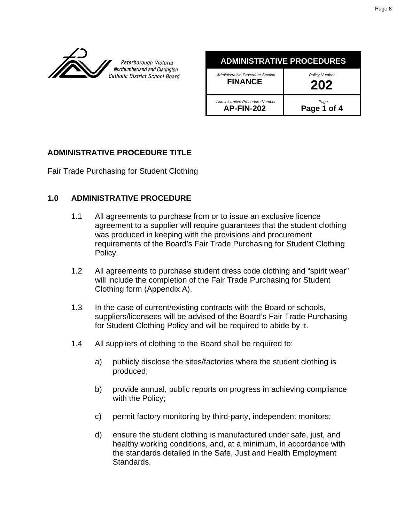

Peterborough Victoria Northumberland and Clarington Catholic District School Board

#### **ADMINISTRATIVE PROCEDURES** *Administrative Procedure Section* **FINANCE** *Policy Number* **202**

 *Administrative Procedure Number* **AP-FIN-202**

*Page* **Page 1 of 4** 

# **ADMINISTRATIVE PROCEDURE TITLE**

Fair Trade Purchasing for Student Clothing

# **1.0 ADMINISTRATIVE PROCEDURE**

- 1.1 All agreements to purchase from or to issue an exclusive licence agreement to a supplier will require guarantees that the student clothing was produced in keeping with the provisions and procurement requirements of the Board's Fair Trade Purchasing for Student Clothing Policy.
- 1.2 All agreements to purchase student dress code clothing and "spirit wear" will include the completion of the Fair Trade Purchasing for Student Clothing form (Appendix A).
- 1.3 In the case of current/existing contracts with the Board or schools, suppliers/licensees will be advised of the Board's Fair Trade Purchasing for Student Clothing Policy and will be required to abide by it.
- 1.4 All suppliers of clothing to the Board shall be required to:
	- a) publicly disclose the sites/factories where the student clothing is produced;
	- b) provide annual, public reports on progress in achieving compliance with the Policy;
	- c) permit factory monitoring by third-party, independent monitors;
	- d) ensure the student clothing is manufactured under safe, just, and healthy working conditions, and, at a minimum, in accordance with the standards detailed in the Safe, Just and Health Employment Standards.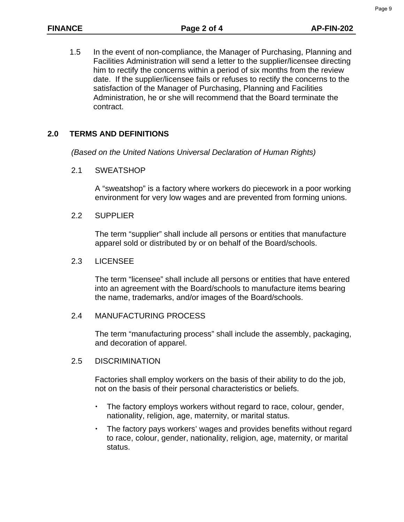1.5 In the event of non-compliance, the Manager of Purchasing, Planning and Facilities Administration will send a letter to the supplier/licensee directing him to rectify the concerns within a period of six months from the review date. If the supplier/licensee fails or refuses to rectify the concerns to the satisfaction of the Manager of Purchasing, Planning and Facilities Administration, he or she will recommend that the Board terminate the contract.

# **2.0 TERMS AND DEFINITIONS**

*(Based on the United Nations Universal Declaration of Human Rights)*

2.1 SWEATSHOP

A "sweatshop" is a factory where workers do piecework in a poor working environment for very low wages and are prevented from forming unions.

2.2 SUPPLIER

The term "supplier" shall include all persons or entities that manufacture apparel sold or distributed by or on behalf of the Board/schools.

#### 2.3 LICENSEE

The term "licensee" shall include all persons or entities that have entered into an agreement with the Board/schools to manufacture items bearing the name, trademarks, and/or images of the Board/schools.

## 2.4 MANUFACTURING PROCESS

The term "manufacturing process" shall include the assembly, packaging, and decoration of apparel.

## 2.5 DISCRIMINATION

Factories shall employ workers on the basis of their ability to do the job, not on the basis of their personal characteristics or beliefs.

- The factory employs workers without regard to race, colour, gender, nationality, religion, age, maternity, or marital status.
- The factory pays workers' wages and provides benefits without regard to race, colour, gender, nationality, religion, age, maternity, or marital status.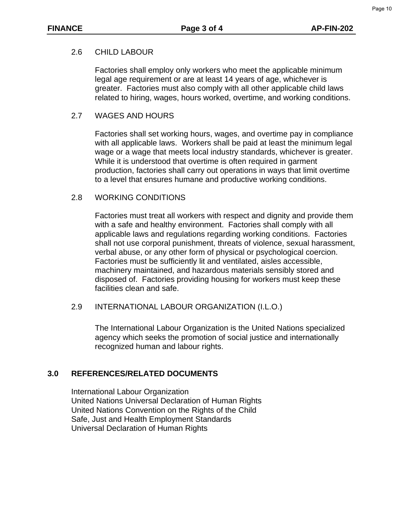## 2.6 CHILD LABOUR

Factories shall employ only workers who meet the applicable minimum legal age requirement or are at least 14 years of age, whichever is greater. Factories must also comply with all other applicable child laws related to hiring, wages, hours worked, overtime, and working conditions.

#### 2.7 WAGES AND HOURS

Factories shall set working hours, wages, and overtime pay in compliance with all applicable laws. Workers shall be paid at least the minimum legal wage or a wage that meets local industry standards, whichever is greater. While it is understood that overtime is often required in garment production, factories shall carry out operations in ways that limit overtime to a level that ensures humane and productive working conditions.

#### 2.8 WORKING CONDITIONS

Factories must treat all workers with respect and dignity and provide them with a safe and healthy environment. Factories shall comply with all applicable laws and regulations regarding working conditions. Factories shall not use corporal punishment, threats of violence, sexual harassment, verbal abuse, or any other form of physical or psychological coercion. Factories must be sufficiently lit and ventilated, aisles accessible, machinery maintained, and hazardous materials sensibly stored and disposed of. Factories providing housing for workers must keep these facilities clean and safe.

## 2.9 INTERNATIONAL LABOUR ORGANIZATION (I.L.O.)

The International Labour Organization is the United Nations specialized agency which seeks the promotion of social justice and internationally recognized human and labour rights.

## **3.0 REFERENCES/RELATED DOCUMENTS**

 International Labour Organization United Nations Universal Declaration of Human Rights United Nations Convention on the Rights of the Child Safe, Just and Health Employment Standards Universal Declaration of Human Rights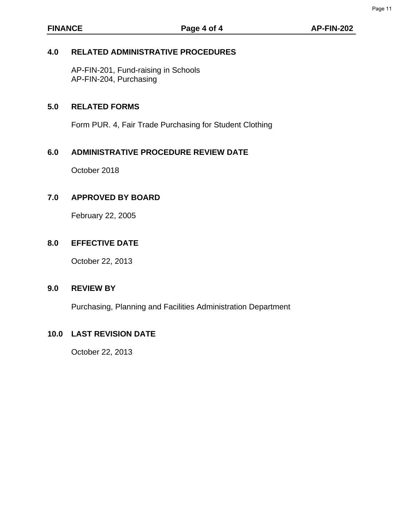## **4.0 RELATED ADMINISTRATIVE PROCEDURES**

 AP-FIN-201, Fund-raising in Schools AP-FIN-204, Purchasing

## **5.0 RELATED FORMS**

Form PUR. 4, Fair Trade Purchasing for Student Clothing

## **6.0 ADMINISTRATIVE PROCEDURE REVIEW DATE**

October 2018

#### **7.0 APPROVED BY BOARD**

February 22, 2005

#### **8.0 EFFECTIVE DATE**

October 22, 2013

#### **9.0 REVIEW BY**

Purchasing, Planning and Facilities Administration Department

#### **10.0 LAST REVISION DATE**

October 22, 2013